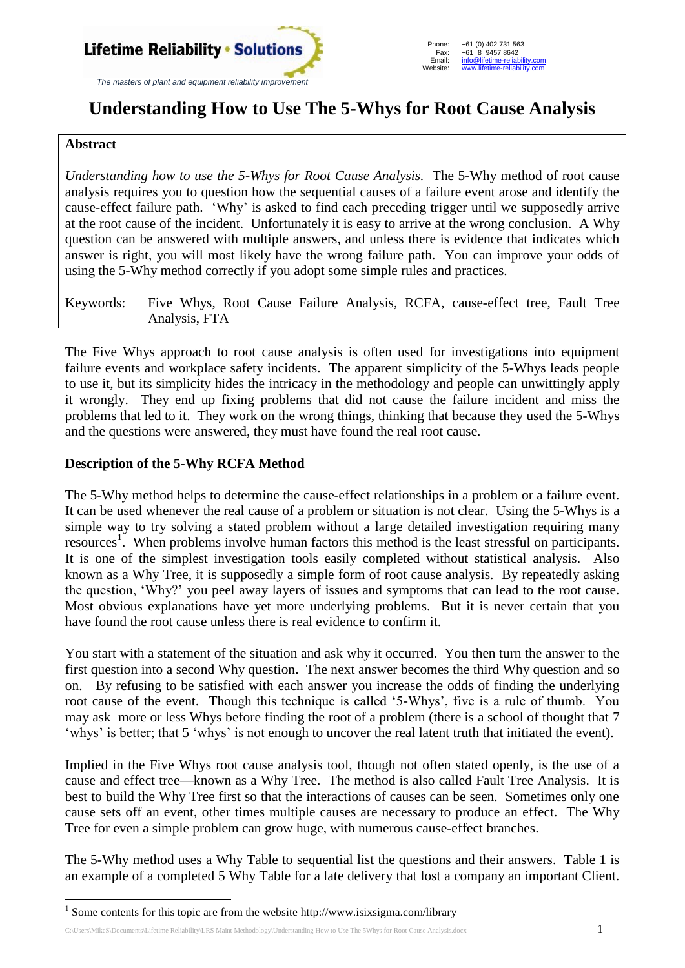

# **Understanding How to Use The 5-Whys for Root Cause Analysis**

### **Abstract**

<u>.</u>

*Understanding how to use the 5-Whys for Root Cause Analysis.* The 5-Why method of root cause analysis requires you to question how the sequential causes of a failure event arose and identify the cause-effect failure path. 'Why' is asked to find each preceding trigger until we supposedly arrive at the root cause of the incident. Unfortunately it is easy to arrive at the wrong conclusion. A Why question can be answered with multiple answers, and unless there is evidence that indicates which answer is right, you will most likely have the wrong failure path. You can improve your odds of using the 5-Why method correctly if you adopt some simple rules and practices.

Keywords: Five Whys, Root Cause Failure Analysis, RCFA, cause-effect tree, Fault Tree Analysis, FTA

The Five Whys approach to root cause analysis is often used for investigations into equipment failure events and workplace safety incidents. The apparent simplicity of the 5-Whys leads people to use it, but its simplicity hides the intricacy in the methodology and people can unwittingly apply it wrongly. They end up fixing problems that did not cause the failure incident and miss the problems that led to it. They work on the wrong things, thinking that because they used the 5-Whys and the questions were answered, they must have found the real root cause.

### **Description of the 5-Why RCFA Method**

The 5-Why method helps to determine the cause-effect relationships in a problem or a failure event. It can be used whenever the real cause of a problem or situation is not clear. Using the 5-Whys is a simple way to try solving a stated problem without a large detailed investigation requiring many resources 1 . When problems involve human factors this method is the least stressful on participants. It is one of the simplest investigation tools easily completed without statistical analysis. Also known as a Why Tree, it is supposedly a simple form of root cause analysis. By repeatedly asking the question, 'Why?' you peel away layers of issues and symptoms that can lead to the root cause. Most obvious explanations have yet more underlying problems. But it is never certain that you have found the root cause unless there is real evidence to confirm it.

You start with a statement of the situation and ask why it occurred. You then turn the answer to the first question into a second Why question. The next answer becomes the third Why question and so on. By refusing to be satisfied with each answer you increase the odds of finding the underlying root cause of the event. Though this technique is called '5-Whys', five is a rule of thumb. You may ask more or less Whys before finding the root of a problem (there is a school of thought that 7 'whys' is better; that 5 'whys' is not enough to uncover the real latent truth that initiated the event).

Implied in the Five Whys root cause analysis tool, though not often stated openly, is the use of a cause and effect tree—known as a Why Tree. The method is also called Fault Tree Analysis. It is best to build the Why Tree first so that the interactions of causes can be seen. Sometimes only one cause sets off an event, other times multiple causes are necessary to produce an effect. The Why Tree for even a simple problem can grow huge, with numerous cause-effect branches.

The 5-Why method uses a Why Table to sequential list the questions and their answers. Table 1 is an example of a completed 5 Why Table for a late delivery that lost a company an important Client.

<sup>&</sup>lt;sup>1</sup> Some contents for this topic are from the website http://www.isixsigma.com/library

C:\Users\MikeS\Documents\Lifetime Reliability\LRS Maint Methodology\Understanding How to Use The 5Whys for Root Cause Analysis.docx 1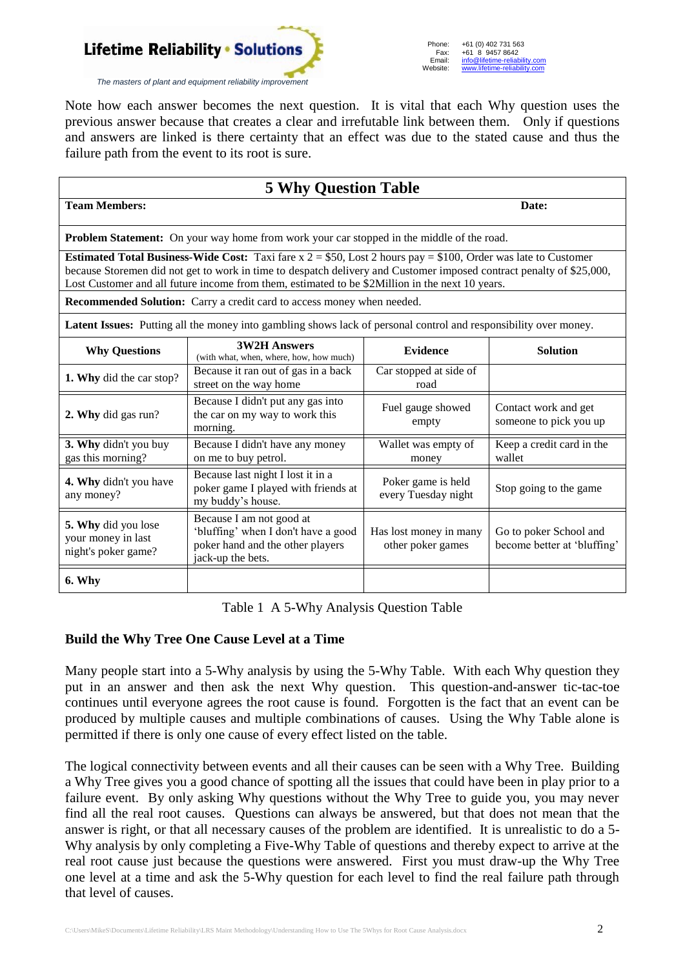

Note how each answer becomes the next question. It is vital that each Why question uses the previous answer because that creates a clear and irrefutable link between them. Only if questions and answers are linked is there certainty that an effect was due to the stated cause and thus the failure path from the event to its root is sure.

| <b>5 Why Question Table</b>                                                                                                                                                                                                                                                                                                                      |                                                                                                                          |                                             |                                                       |
|--------------------------------------------------------------------------------------------------------------------------------------------------------------------------------------------------------------------------------------------------------------------------------------------------------------------------------------------------|--------------------------------------------------------------------------------------------------------------------------|---------------------------------------------|-------------------------------------------------------|
| <b>Team Members:</b>                                                                                                                                                                                                                                                                                                                             |                                                                                                                          | Date:                                       |                                                       |
| <b>Problem Statement:</b> On your way home from work your car stopped in the middle of the road.                                                                                                                                                                                                                                                 |                                                                                                                          |                                             |                                                       |
| <b>Estimated Total Business-Wide Cost:</b> Taxi fare $x = $50$ , Lost 2 hours pay = \$100, Order was late to Customer<br>because Storemen did not get to work in time to despatch delivery and Customer imposed contract penalty of \$25,000,<br>Lost Customer and all future income from them, estimated to be \$2Million in the next 10 years. |                                                                                                                          |                                             |                                                       |
| Recommended Solution: Carry a credit card to access money when needed.                                                                                                                                                                                                                                                                           |                                                                                                                          |                                             |                                                       |
| Latent Issues: Putting all the money into gambling shows lack of personal control and responsibility over money.                                                                                                                                                                                                                                 |                                                                                                                          |                                             |                                                       |
| <b>Why Questions</b>                                                                                                                                                                                                                                                                                                                             | <b>3W2H Answers</b><br>(with what, when, where, how, how much)                                                           | <b>Evidence</b>                             | <b>Solution</b>                                       |
| 1. Why did the car stop?                                                                                                                                                                                                                                                                                                                         | Because it ran out of gas in a back<br>street on the way home                                                            | Car stopped at side of<br>road              |                                                       |
| 2. Why did gas run?                                                                                                                                                                                                                                                                                                                              | Because I didn't put any gas into<br>the car on my way to work this<br>morning.                                          | Fuel gauge showed<br>empty                  | Contact work and get<br>someone to pick you up        |
| 3. Why didn't you buy<br>gas this morning?                                                                                                                                                                                                                                                                                                       | Because I didn't have any money<br>on me to buy petrol.                                                                  | Wallet was empty of<br>money                | Keep a credit card in the<br>wallet                   |
| 4. Why didn't you have<br>any money?                                                                                                                                                                                                                                                                                                             | Because last night I lost it in a<br>poker game I played with friends at<br>my buddy's house.                            | Poker game is held<br>every Tuesday night   | Stop going to the game                                |
| 5. Why did you lose<br>your money in last<br>night's poker game?                                                                                                                                                                                                                                                                                 | Because I am not good at<br>'bluffing' when I don't have a good<br>poker hand and the other players<br>jack-up the bets. | Has lost money in many<br>other poker games | Go to poker School and<br>become better at 'bluffing' |
| 6. Why                                                                                                                                                                                                                                                                                                                                           |                                                                                                                          |                                             |                                                       |

Table 1 A 5-Why Analysis Question Table

#### **Build the Why Tree One Cause Level at a Time**

Many people start into a 5-Why analysis by using the 5-Why Table. With each Why question they put in an answer and then ask the next Why question. This question-and-answer tic-tac-toe continues until everyone agrees the root cause is found. Forgotten is the fact that an event can be produced by multiple causes and multiple combinations of causes. Using the Why Table alone is permitted if there is only one cause of every effect listed on the table.

The logical connectivity between events and all their causes can be seen with a Why Tree. Building a Why Tree gives you a good chance of spotting all the issues that could have been in play prior to a failure event. By only asking Why questions without the Why Tree to guide you, you may never find all the real root causes. Questions can always be answered, but that does not mean that the answer is right, or that all necessary causes of the problem are identified. It is unrealistic to do a 5- Why analysis by only completing a Five-Why Table of questions and thereby expect to arrive at the real root cause just because the questions were answered. First you must draw-up the Why Tree one level at a time and ask the 5-Why question for each level to find the real failure path through that level of causes.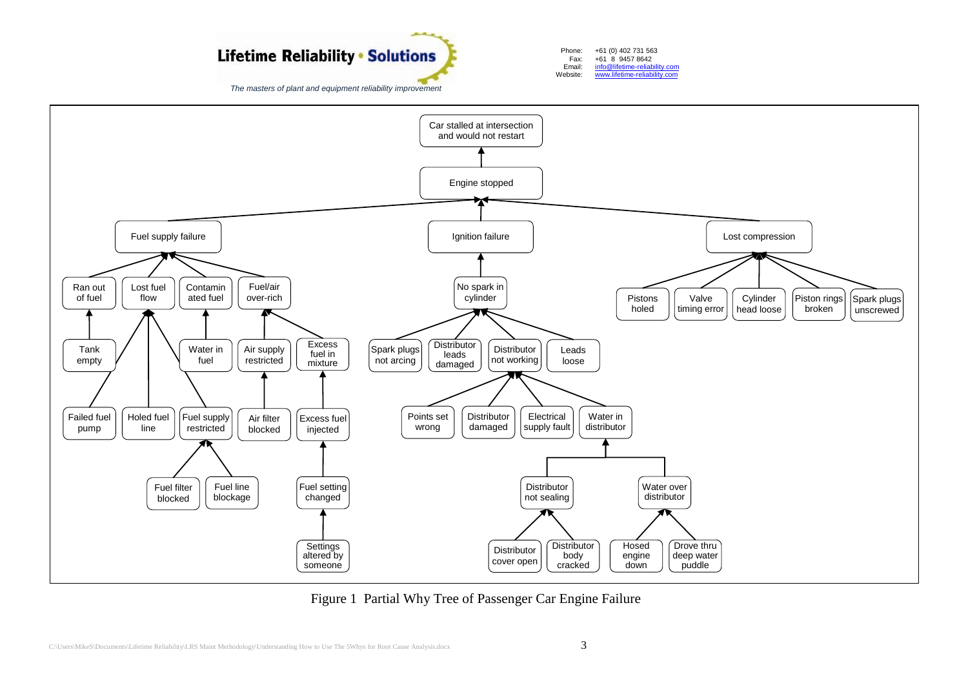# **Lifetime Reliability • Solutions**

*The masters of plant and equipment reliability improvement*



Car stalled at intersection and would not restart Ignition failure Ran out of fuel Lost compression Engine stopped Fuel supply failure Lost fuel flow Contamin ated fuel Failed fuel pump Holed fuel line Fuel/air over-rich Fuel supply restricted Water in fuel Air supply restricted **Excess** fuel in mixture Tank empty Air filter blocked Excess fuel injected Fuel filter blocked Fuel line blockage Fuel setting changed **Settings** altered by someone No spark in cylinder Spark plugs not arcing Piston rings broken Spark plugs unscrewed Cylinder head loose Valve timing error Pistons holed Distributor leads damaged Distributor not working Points set wrong Distributor damaged Water in distributor Leads loose Electrical supply fault Distributor not sealing **Distributor** body cracked Water over distributor Drove thru deep water puddle Hosed engine down **Distributor** cover open

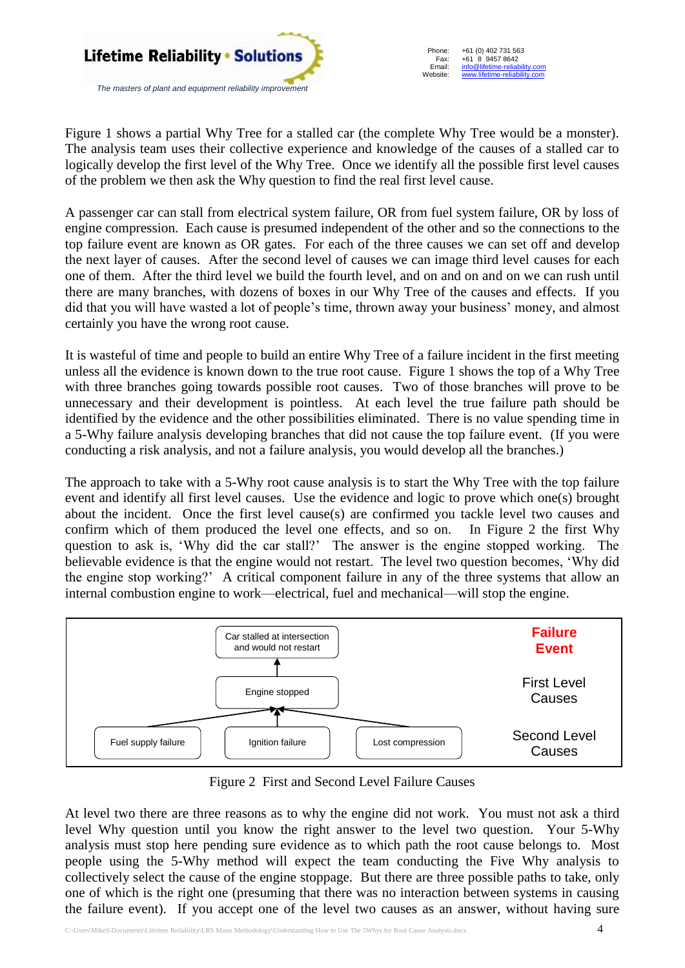

Phone: Fax: Email: Website: +61 (0) 402 731 563 +61 (8) 9457 8642 info@lifetime-reliability www.lifetime-reliability.com

Figure 1 shows a partial Why Tree for a stalled car (the complete Why Tree would be a monster). The analysis team uses their collective experience and knowledge of the causes of a stalled car to logically develop the first level of the Why Tree. Once we identify all the possible first level causes of the problem we then ask the Why question to find the real first level cause.

A passenger car can stall from electrical system failure, OR from fuel system failure, OR by loss of engine compression. Each cause is presumed independent of the other and so the connections to the top failure event are known as OR gates. For each of the three causes we can set off and develop the next layer of causes. After the second level of causes we can image third level causes for each one of them. After the third level we build the fourth level, and on and on and on we can rush until there are many branches, with dozens of boxes in our Why Tree of the causes and effects. If you did that you will have wasted a lot of people's time, thrown away your business' money, and almost certainly you have the wrong root cause.

It is wasteful of time and people to build an entire Why Tree of a failure incident in the first meeting unless all the evidence is known down to the true root cause. Figure 1 shows the top of a Why Tree with three branches going towards possible root causes. Two of those branches will prove to be unnecessary and their development is pointless. At each level the true failure path should be identified by the evidence and the other possibilities eliminated. There is no value spending time in a 5-Why failure analysis developing branches that did not cause the top failure event. (If you were conducting a risk analysis, and not a failure analysis, you would develop all the branches.)

The approach to take with a 5-Why root cause analysis is to start the Why Tree with the top failure event and identify all first level causes. Use the evidence and logic to prove which one(s) brought about the incident. Once the first level cause(s) are confirmed you tackle level two causes and confirm which of them produced the level one effects, and so on. In Figure 2 the first Why question to ask is, 'Why did the car stall?' The answer is the engine stopped working. The believable evidence is that the engine would not restart. The level two question becomes, 'Why did the engine stop working?' A critical component failure in any of the three systems that allow an internal combustion engine to work—electrical, fuel and mechanical—will stop the engine.



Figure 2 First and Second Level Failure Causes

At level two there are three reasons as to why the engine did not work. You must not ask a third level Why question until you know the right answer to the level two question. Your 5-Why analysis must stop here pending sure evidence as to which path the root cause belongs to. Most people using the 5-Why method will expect the team conducting the Five Why analysis to collectively select the cause of the engine stoppage. But there are three possible paths to take, only one of which is the right one (presuming that there was no interaction between systems in causing the failure event). If you accept one of the level two causes as an answer, without having sure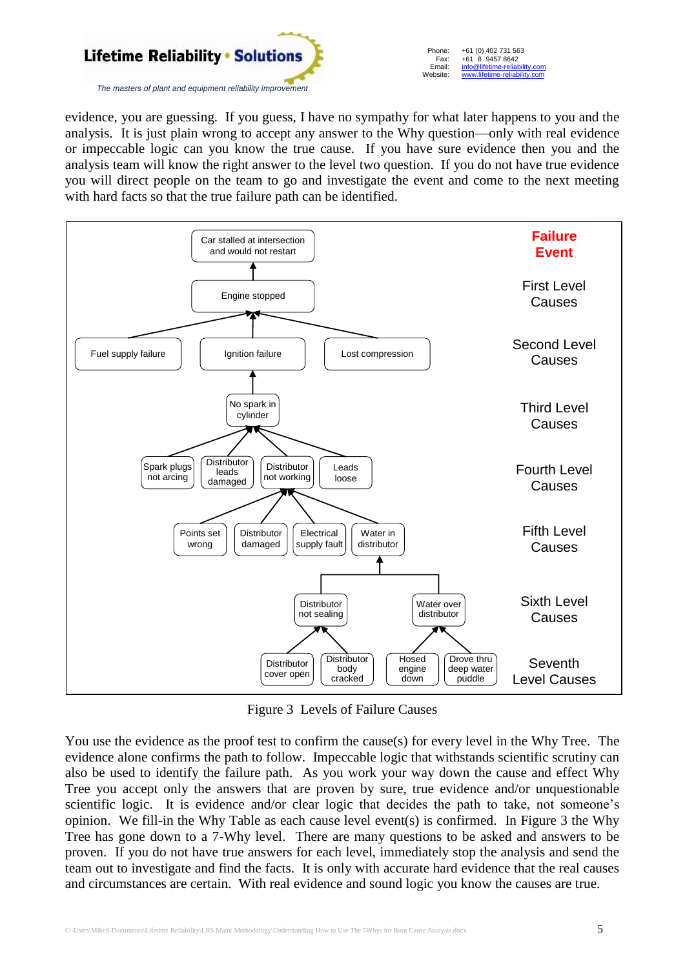

evidence, you are guessing. If you guess, I have no sympathy for what later happens to you and the analysis. It is just plain wrong to accept any answer to the Why question—only with real evidence or impeccable logic can you know the true cause. If you have sure evidence then you and the analysis team will know the right answer to the level two question. If you do not have true evidence you will direct people on the team to go and investigate the event and come to the next meeting with hard facts so that the true failure path can be identified.



Figure 3 Levels of Failure Causes

You use the evidence as the proof test to confirm the cause(s) for every level in the Why Tree. The evidence alone confirms the path to follow. Impeccable logic that withstands scientific scrutiny can also be used to identify the failure path. As you work your way down the cause and effect Why Tree you accept only the answers that are proven by sure, true evidence and/or unquestionable scientific logic. It is evidence and/or clear logic that decides the path to take, not someone's opinion. We fill-in the Why Table as each cause level event(s) is confirmed. In Figure 3 the Why Tree has gone down to a 7-Why level. There are many questions to be asked and answers to be proven. If you do not have true answers for each level, immediately stop the analysis and send the team out to investigate and find the facts. It is only with accurate hard evidence that the real causes and circumstances are certain. With real evidence and sound logic you know the causes are true.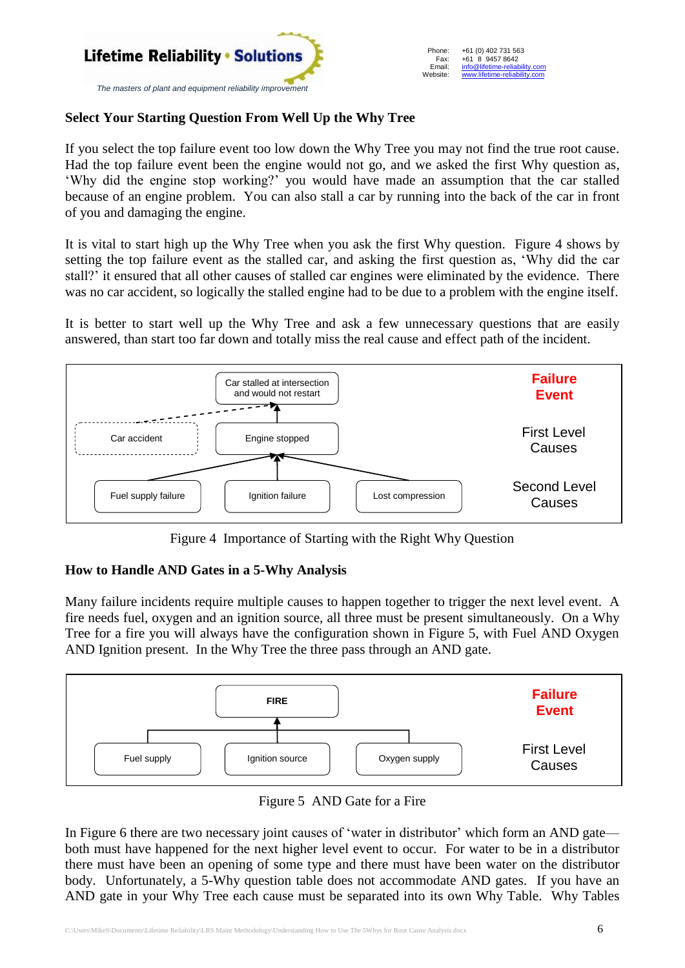

## **Select Your Starting Question From Well Up the Why Tree**

If you select the top failure event too low down the Why Tree you may not find the true root cause. Had the top failure event been the engine would not go, and we asked the first Why question as, 'Why did the engine stop working?' you would have made an assumption that the car stalled because of an engine problem. You can also stall a car by running into the back of the car in front of you and damaging the engine.

It is vital to start high up the Why Tree when you ask the first Why question. Figure 4 shows by setting the top failure event as the stalled car, and asking the first question as, 'Why did the car stall?' it ensured that all other causes of stalled car engines were eliminated by the evidence. There was no car accident, so logically the stalled engine had to be due to a problem with the engine itself.

It is better to start well up the Why Tree and ask a few unnecessary questions that are easily answered, than start too far down and totally miss the real cause and effect path of the incident.



Figure 4 Importance of Starting with the Right Why Question

### **How to Handle AND Gates in a 5-Why Analysis**

Many failure incidents require multiple causes to happen together to trigger the next level event. A fire needs fuel, oxygen and an ignition source, all three must be present simultaneously. On a Why Tree for a fire you will always have the configuration shown in Figure 5, with Fuel AND Oxygen AND Ignition present. In the Why Tree the three pass through an AND gate.



Figure 5 AND Gate for a Fire

In Figure 6 there are two necessary joint causes of 'water in distributor' which form an AND gate both must have happened for the next higher level event to occur. For water to be in a distributor there must have been an opening of some type and there must have been water on the distributor body. Unfortunately, a 5-Why question table does not accommodate AND gates. If you have an AND gate in your Why Tree each cause must be separated into its own Why Table. Why Tables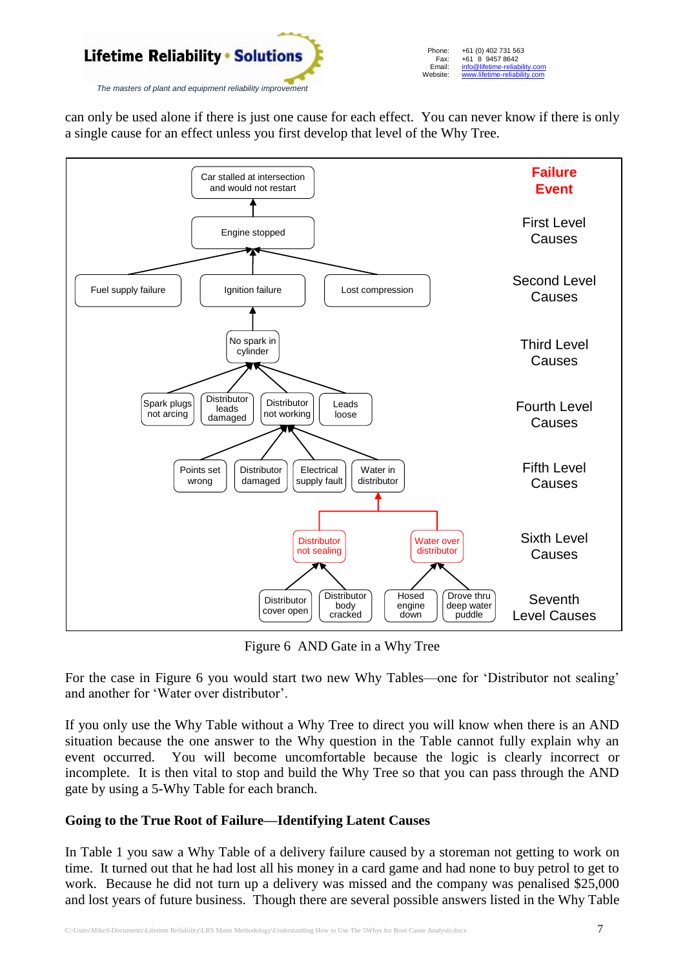

can only be used alone if there is just one cause for each effect. You can never know if there is only a single cause for an effect unless you first develop that level of the Why Tree.



Figure 6 AND Gate in a Why Tree

For the case in Figure 6 you would start two new Why Tables—one for 'Distributor not sealing' and another for 'Water over distributor'.

If you only use the Why Table without a Why Tree to direct you will know when there is an AND situation because the one answer to the Why question in the Table cannot fully explain why an event occurred. You will become uncomfortable because the logic is clearly incorrect or incomplete. It is then vital to stop and build the Why Tree so that you can pass through the AND gate by using a 5-Why Table for each branch.

# **Going to the True Root of Failure—Identifying Latent Causes**

In Table 1 you saw a Why Table of a delivery failure caused by a storeman not getting to work on time. It turned out that he had lost all his money in a card game and had none to buy petrol to get to work. Because he did not turn up a delivery was missed and the company was penalised \$25,000 and lost years of future business. Though there are several possible answers listed in the Why Table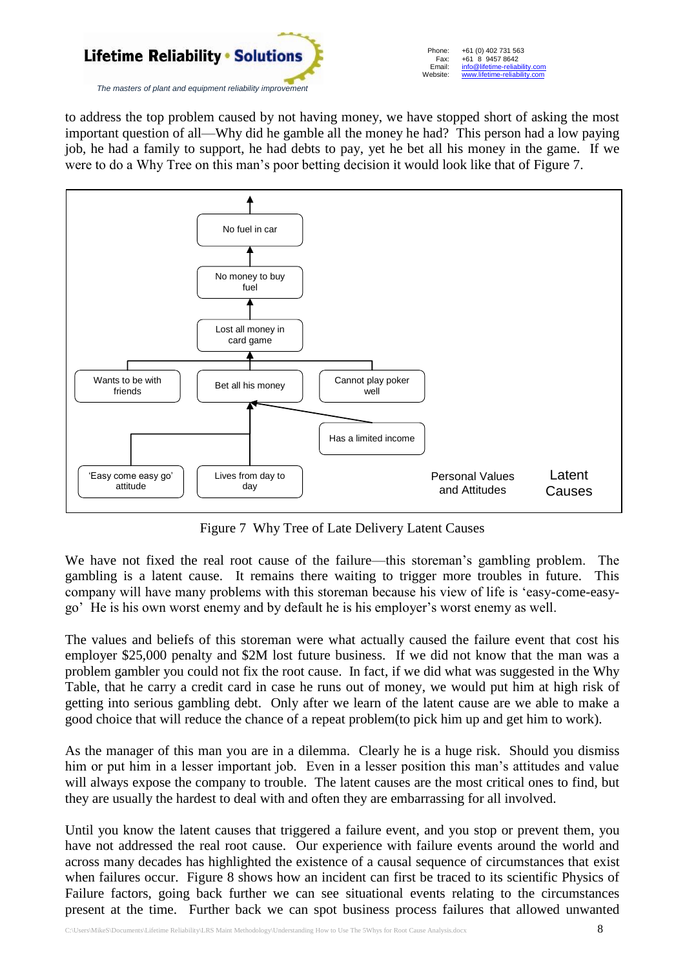

to address the top problem caused by not having money, we have stopped short of asking the most important question of all—Why did he gamble all the money he had? This person had a low paying job, he had a family to support, he had debts to pay, yet he bet all his money in the game. If we were to do a Why Tree on this man's poor betting decision it would look like that of Figure 7.



Figure 7 Why Tree of Late Delivery Latent Causes

We have not fixed the real root cause of the failure—this storeman's gambling problem. The gambling is a latent cause. It remains there waiting to trigger more troubles in future. This company will have many problems with this storeman because his view of life is 'easy-come-easygo' He is his own worst enemy and by default he is his employer's worst enemy as well.

The values and beliefs of this storeman were what actually caused the failure event that cost his employer \$25,000 penalty and \$2M lost future business. If we did not know that the man was a problem gambler you could not fix the root cause. In fact, if we did what was suggested in the Why Table, that he carry a credit card in case he runs out of money, we would put him at high risk of getting into serious gambling debt. Only after we learn of the latent cause are we able to make a good choice that will reduce the chance of a repeat problem(to pick him up and get him to work).

As the manager of this man you are in a dilemma. Clearly he is a huge risk. Should you dismiss him or put him in a lesser important job. Even in a lesser position this man's attitudes and value will always expose the company to trouble. The latent causes are the most critical ones to find, but they are usually the hardest to deal with and often they are embarrassing for all involved.

Until you know the latent causes that triggered a failure event, and you stop or prevent them, you have not addressed the real root cause. Our experience with failure events around the world and across many decades has highlighted the existence of a causal sequence of circumstances that exist when failures occur. Figure 8 shows how an incident can first be traced to its scientific Physics of Failure factors, going back further we can see situational events relating to the circumstances present at the time. Further back we can spot business process failures that allowed unwanted